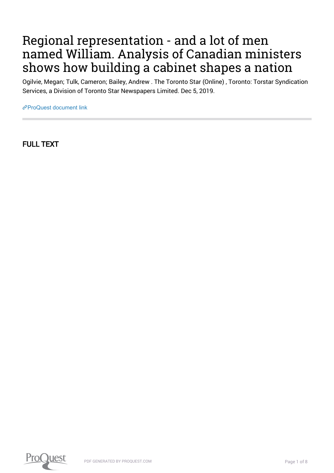## Regional representation - and a lot of men named William. Analysis of Canadian ministers shows how building a cabinet shapes a nation

Ogilvie, Megan; Tulk, Cameron; Bailey, Andrew . The Toronto Star (Online) , Toronto: Torstar Syndication Services, a Division of Toronto Star Newspapers Limited. Dec 5, 2019.

[ProQuest document link](https://proxy.library.carleton.ca/login?url=https://www.proquest.com/blogs-podcasts-websites/regional-representation-lot-men-named-william/docview/2331820358/se-2?accountid=9894)

FULL TEXT

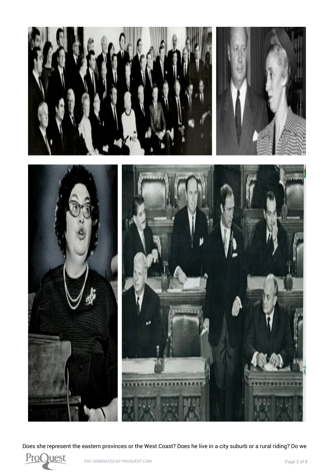

Does she represent the eastern provinces or the West Coast? Does he live in a city suburb or a rural riding? Do we

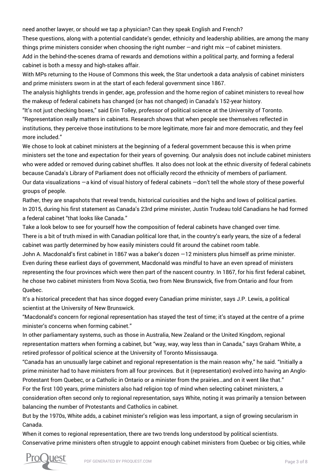need another lawyer, or should we tap a physician? Can they speak English and French?

These questions, along with a potential candidate's gender, ethnicity and leadership abilities, are among the many things prime ministers consider when choosing the right number —and right mix —of cabinet ministers. Add in the behind-the-scenes drama of rewards and demotions within a political party, and forming a federal cabinet is both a messy and high-stakes affair.

With MPs returning to the House of Commons this week, the Star undertook a data analysis of cabinet ministers and prime ministers sworn in at the start of each federal government since 1867.

The analysis highlights trends in gender, age, profession and the home region of cabinet ministers to reveal how the makeup of federal cabinets has changed (or has not changed) in Canada's 152-year history.

"It's not just checking boxes," said Erin Tolley, professor of political science at the University of Toronto. "Representation really matters in cabinets. Research shows that when people see themselves reflected in institutions, they perceive those institutions to be more legitimate, more fair and more democratic, and they feel more included."

We chose to look at cabinet ministers at the beginning of a federal government because this is when prime ministers set the tone and expectation for their years of governing. Our analysis does not include cabinet ministers who were added or removed during cabinet shuffles. It also does not look at the ethnic diversity of federal cabinets because Canada's Library of Parliament does not officially record the ethnicity of members of parliament. Our data visualizations —a kind of visual history of federal cabinets —don't tell the whole story of these powerful groups of people.

Rather, they are snapshots that reveal trends, historical curiosities and the highs and lows of political parties. In 2015, during his first statement as Canada's 23rd prime minister, [Justin Trudeau told Canadians he had formed](https://www.thestar.com/news/canada/2015/11/05/justin-trudeaus-because-its-2015-gender-parity-comment-gets-world-praise.html) [a federal cabinet "that looks like Canada."](https://www.thestar.com/news/canada/2015/11/05/justin-trudeaus-because-its-2015-gender-parity-comment-gets-world-praise.html)

Take a look below to see for yourself how the composition of federal cabinets have changed over time. There is a bit of truth mixed in with Canadian political lore that, in the country's early years, the size of a federal cabinet was partly determined by how easily ministers could fit around the cabinet room table.

John A. Macdonald's first cabinet in 1867 was a baker's dozen —12 ministers plus himself as prime minister. Even during these earliest days of government, Macdonald was mindful to have an even spread of ministers representing the four provinces which were then part of the nascent country. In 1867, for his first federal cabinet, he chose two cabinet ministers from Nova Scotia, two from New Brunswick, five from Ontario and four from Quebec.

It's a historical precedent that has since dogged every Canadian prime minister, says J.P. Lewis, a political scientist at the University of New Brunswick.

"Macdonald's concern for regional representation has stayed the test of time; it's stayed at the centre of a prime minister's concerns when forming cabinet."

In other parliamentary systems, such as those in Australia, New Zealand or the United Kingdom, regional representation matters when forming a cabinet, but "way, way, way less than in Canada," says Graham White, a retired professor of political science at the University of Toronto Mississauga.

"Canada has an unusually large cabinet and regional representation is the main reason why," he said. "Initially a prime minister had to have ministers from all four provinces. But it (representation) evolved into having an Anglo-Protestant from Quebec, or a Catholic in Ontario or a minister from the prairies…and on it went like that."

For the first 100 years, prime ministers also had religion top of mind when selecting cabinet ministers, a consideration often second only to regional representation, says White, noting it was primarily a tension between balancing the number of Protestants and Catholics in cabinet.

But by the 1970s, White adds, a cabinet minister's religion was less important, a sign of growing secularism in Canada.

When it comes to regional representation, there are two trends long understood by political scientists. Conservative prime ministers often struggle to appoint enough cabinet ministers from Quebec or big cities, while

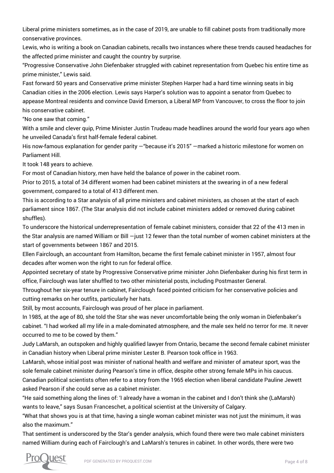Liberal prime ministers sometimes, as in the case of 2019, are unable to fill cabinet posts from traditionally more conservative provinces.

Lewis, who is writing a book on Canadian cabinets, recalls two instances where these trends caused headaches for the affected prime minister and caught the country by surprise.

"Progressive Conservative John Diefenbaker struggled with cabinet representation from Quebec his entire time as prime minister," Lewis said.

Fast forward 50 years and Conservative prime minister Stephen Harper had a hard time winning seats in big Canadian cities in the 2006 election. Lewis says Harper's solution was to appoint a senator from Quebec to appease Montreal residents and convince David Emerson, a Liberal MP from Vancouver, to cross the floor to join his conservative cabinet.

"No one saw that coming."

With a smile and clever quip, Prime Minister Justin Trudeau made headlines around the world four years ago when he unveiled Canada's first half-female federal cabinet.

His now-famous explanation for gender parity —"because it's 2015" —marked a historic milestone for women on Parliament Hill.

It took 148 years to achieve.

For most of Canadian history, men have held the balance of power in the cabinet room.

Prior to 2015, a total of 34 different women had been cabinet ministers at the swearing in of a new federal government, compared to a total of 413 different men.

This is according to a Star analysis of all prime ministers and cabinet ministers, as chosen at the start of each parliament since 1867. (The Star analysis did not include cabinet ministers added or removed during cabinet shuffles).

To underscore the historical underrepresentation of female cabinet ministers, consider that 22 of the 413 men in the Star analysis are named William or Bill —just 12 fewer than the total number of women cabinet ministers at the start of governments between 1867 and 2015.

Ellen Fairclough, an accountant from Hamilton, became the first female cabinet minister in 1957, almost four decades after women won the right to run for federal office.

Appointed secretary of state by Progressive Conservative prime minister John Diefenbaker during his first term in office, Fairclough was later shuffled to two other ministerial posts, including Postmaster General.

Throughout her six-year tenure in cabinet, Fairclough faced pointed criticism for her conservative policies and cutting remarks on her outfits, particularly her hats.

Still, by most accounts, Fairclough was proud of her place in parliament.

In 1985, at the age of 80, she told the Star she was never uncomfortable being the only woman in Diefenbaker's cabinet. "I had worked all my life in a male-dominated atmosphere, and the male sex held no terror for me. It never occurred to me to be cowed by them."

Judy LaMarsh, an outspoken and highly qualified lawyer from Ontario, became the second female cabinet minister in Canadian history when Liberal prime minister Lester B. Pearson took office in 1963.

LaMarsh, whose initial post was minister of national health and welfare and minister of amateur sport, was the sole female cabinet minister during Pearson's time in office, despite other strong female MPs in his caucus. Canadian political scientists often refer to a story from the 1965 election when liberal candidate Pauline Jewett asked Pearson if she could serve as a cabinet minister.

"He said something along the lines of: 'I already have a woman in the cabinet and I don't think she (LaMarsh) wants to leave," says Susan Franceschet, a political scientist at the University of Calgary.

"What that shows you is at that time, having a single woman cabinet minister was not just the minimum, it was also the maximum."

That sentiment is underscored by the Star's gender analysis, which found there were two male cabinet ministers named William during each of Fairclough's and LaMarsh's tenures in cabinet. In other words, there were two

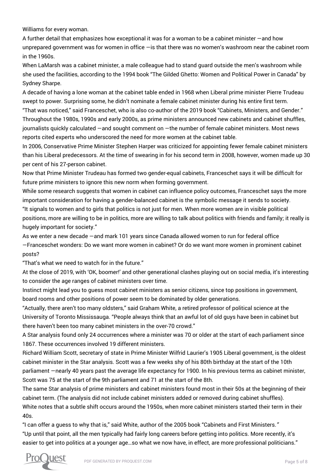Williams for every woman.

A further detail that emphasizes how exceptional it was for a woman to be a cabinet minister —and how unprepared government was for women in office - is that there was no women's washroom near the cabinet room in the 1960s.

When LaMarsh was a cabinet minister, a male colleague had to stand guard outside the men's washroom while she used the facilities, according to the 1994 book "The Gilded Ghetto: Women and Political Power in Canada" by Sydney Sharpe.

A decade of having a lone woman at the cabinet table ended in 1968 when Liberal prime minister Pierre Trudeau swept to power. Surprising some, he didn't nominate a female cabinet minister during his entire first term.

"That was noticed," said Franceschet, who is also co-author of the 2019 book "Cabinets, Ministers, and Gender." Throughout the 1980s, 1990s and early 2000s, as prime ministers announced new cabinets and cabinet shuffles, journalists quickly calculated —and sought comment on —the number of female cabinet ministers. Most news reports cited experts who underscored the need for more women at the cabinet table.

In 2006, Conservative Prime Minister Stephen Harper was criticized for appointing fewer female cabinet ministers than his Liberal predecessors. At the time of swearing in for his second term in 2008, however, women made up 30 per cent of his 27-person cabinet.

Now that Prime Minister Trudeau has formed two gender-equal cabinets, Franceschet says it will be difficult for future prime ministers to ignore this new norm when forming government.

While some research suggests that women in cabinet can influence policy outcomes, Franceschet says the more important consideration for having a gender-balanced cabinet is the symbolic message it sends to society. "It signals to women and to girls that politics is not just for men. When more women are in visible political positions, more are willing to be in politics, more are willing to talk about politics with friends and family; it really is

hugely important for society."

As we enter a new decade —and mark 101 years since Canada allowed women to run for federal office —Franceschet wonders: Do we want more women in cabinet? Or do we want more women in prominent cabinet posts?

"That's what we need to watch for in the future."

At the close of 2019, with 'OK, boomer!' and other generational clashes playing out on social media, it's interesting to consider the age ranges of cabinet ministers over time.

Instinct might lead you to guess most cabinet ministers as senior citizens, since top positions in government, board rooms and other positions of power seem to be dominated by older generations.

"Actually, there aren't too many oldsters," said Graham White, a retired professor of political science at the University of Toronto Mississauga. "People always think that an awful lot of old guys have been in cabinet but there haven't been too many cabinet ministers in the over-70 crowd."

A Star analysis found only 24 occurrences where a minister was 70 or older at the start of each parliament since 1867. These occurrences involved 19 different ministers.

Richard William Scott, secretary of state in Prime Minister Wilfrid Laurier's 1905 Liberal government, is the oldest cabinet minister in the Star analysis. Scott was a few weeks shy of his 80th birthday at the start of the 10th parliament —nearly 40 years past the average life expectancy for 1900. In his previous terms as cabinet minister, Scott was 75 at the start of the 9th parliament and 71 at the start of the 8th.

The same Star analysis of prime ministers and cabinet ministers found most in their 50s at the beginning of their cabinet term. (The analysis did not include cabinet ministers added or removed during cabinet shuffles). White notes that a subtle shift occurs around the 1950s, when more cabinet ministers started their term in their 40s.

"I can offer a guess to why that is," said White, author of the 2005 book "Cabinets and First Ministers." "Up until that point, all the men typically had fairly long careers before getting into politics. More recently, it's easier to get into politics at a younger age…so what we now have, in effect, are more professional politicians."

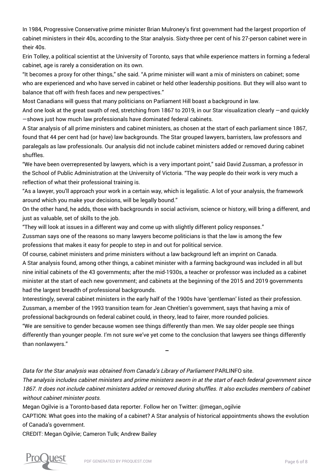In 1984, Progressive Conservative prime minister Brian Mulroney's first government had the largest proportion of cabinet ministers in their 40s, according to the Star analysis. Sixty-three per cent of his 27-person cabinet were in their 40s.

Erin Tolley, a political scientist at the University of Toronto, says that while experience matters in forming a federal cabinet, age is rarely a consideration on its own.

"It becomes a proxy for other things," she said. "A prime minister will want a mix of ministers on cabinet; some who are experienced and who have served in cabinet or held other leadership positions. But they will also want to balance that off with fresh faces and new perspectives."

Most Canadians will guess that many politicians on Parliament Hill boast a background in law.

And one look at the great swath of red, stretching from 1867 to 2019, in our Star visualization clearly —and quickly —shows just how much law professionals have dominated federal cabinets.

A Star analysis of all prime ministers and cabinet ministers, as chosen at the start of each parliament since 1867, found that 44 per cent had (or have) law backgrounds. The Star grouped lawyers, barristers, law professors and paralegals as law professionals. Our analysis did not include cabinet ministers added or removed during cabinet shuffles.

"We have been overrepresented by lawyers, which is a very important point," said David Zussman, a professor in the School of Public Administration at the University of Victoria. "The way people do their work is very much a reflection of what their professional training is.

"As a lawyer, you'll approach your work in a certain way, which is legalistic. A lot of your analysis, the framework around which you make your decisions, will be legally bound."

On the other hand, he adds, those with backgrounds in social activism, science or history, will bring a different, and just as valuable, set of skills to the job.

"They will look at issues in a different way and come up with slightly different policy responses."

Zussman says one of the reasons so many lawyers become politicians is that the law is among the few professions that makes it easy for people to step in and out for political service.

Of course, cabinet ministers and prime ministers without a law background left an imprint on Canada.

A Star analysis found, among other things, a cabinet minister with a farming background was included in all but nine initial cabinets of the 43 governments; after the mid-1930s, a teacher or professor was included as a cabinet minister at the start of each new government; and cabinets at the beginning of the 2015 and 2019 governments had the largest breadth of professional backgrounds.

Interestingly, several cabinet ministers in the early half of the 1900s have 'gentleman' listed as their profession. Zussman, a member of the 1993 transition team for Jean Chrétien's government, says that having a mix of professional backgrounds on federal cabinet could, in theory, lead to fairer, more rounded policies.

"We are sensitive to gender because women see things differently than men. We say older people see things differently than younger people. I'm not sure we've yet come to the conclusion that lawyers see things differently than nonlawyers."

Data for the Star analysis was obtained from Canada's Library of Parliament [PARLINFO site](https://urldefense.proofpoint.com/v2/url?u=https-3A__lop.parl.ca_sites_ParlInfo_default_en-5FCA_&d=DwMFAg&c=KjisrLs2D0AXJmZjByAnZA&r=8CfWwr37KW9K8ljQSJeip2KkPTHBk4AI1GsiV8LtOV0&m=w2B2Bm22vV2d7-7c8UF3I4-6XKtk3Yh-8opj5sLF_24&s=XBBsKG0vCo03Hbkbusy6qa-smhe6uz9qGNv_gkaGnSQ&e=).

The analysis includes cabinet ministers and prime ministers sworn in at the start of each federal government since 1867. It does not include cabinet ministers added or removed during shuffles. It also excludes members of cabinet without cabinet minister posts.

Megan Ogilvie is a Toronto-based data reporter. Follow her on Twitter: [@megan\\_ogilvie](https://twitter.com/megan_ogilvie)

CAPTION: What goes into the making of a cabinet? A Star analysis of historical appointments shows the evolution of Canada's government.

CREDIT: Megan Ogilvie; Cameron Tulk; Andrew Bailey

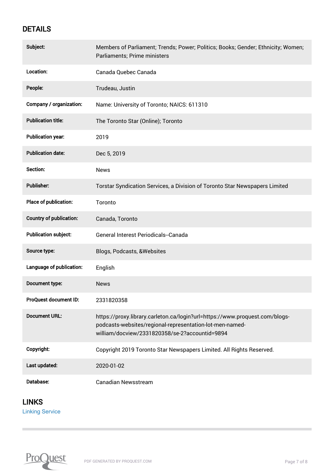## DETAILS

| Subject:                       | Members of Parliament; Trends; Power; Politics; Books; Gender; Ethnicity; Women;<br>Parliaments; Prime ministers                                                                          |
|--------------------------------|-------------------------------------------------------------------------------------------------------------------------------------------------------------------------------------------|
| Location:                      | Canada Quebec Canada                                                                                                                                                                      |
| People:                        | Trudeau, Justin                                                                                                                                                                           |
| Company / organization:        | Name: University of Toronto; NAICS: 611310                                                                                                                                                |
| <b>Publication title:</b>      | The Toronto Star (Online); Toronto                                                                                                                                                        |
| <b>Publication year:</b>       | 2019                                                                                                                                                                                      |
| <b>Publication date:</b>       | Dec 5, 2019                                                                                                                                                                               |
| Section:                       | <b>News</b>                                                                                                                                                                               |
| <b>Publisher:</b>              | Torstar Syndication Services, a Division of Toronto Star Newspapers Limited                                                                                                               |
| Place of publication:          | Toronto                                                                                                                                                                                   |
| <b>Country of publication:</b> | Canada, Toronto                                                                                                                                                                           |
| <b>Publication subject:</b>    | General Interest Periodicals--Canada                                                                                                                                                      |
| Source type:                   | Blogs, Podcasts, & Websites                                                                                                                                                               |
| Language of publication:       | English                                                                                                                                                                                   |
| Document type:                 | <b>News</b>                                                                                                                                                                               |
| ProQuest document ID:          | 2331820358                                                                                                                                                                                |
| <b>Document URL:</b>           | https://proxy.library.carleton.ca/login?url=https://www.proquest.com/blogs-<br>podcasts-websites/regional-representation-lot-men-named-<br>william/docview/2331820358/se-2?accountid=9894 |
| Copyright:                     | Copyright 2019 Toronto Star Newspapers Limited. All Rights Reserved.                                                                                                                      |
| Last updated:                  | 2020-01-02                                                                                                                                                                                |
| Database:                      | <b>Canadian Newsstream</b>                                                                                                                                                                |

## LINKS

[Linking Service](https://ocul-crl.primo.exlibrisgroup.com/discovery/openurl?institution=01OCUL_CRL&vid=01OCUL_CRL:CRL_DEFAULT&?url_ver=Z39.88-2004&rft_val_fmt=info:ofi/fmt:kev:mtx:journal&genre=article&sid=ProQ:ProQ:canadiannews&atitle=Regional%20representation%20-%20and%20a%20lot%20of%20men%20named%20William.%20Analysis%20of%20Canadian%20ministers%20shows%20how%20building%20a%20cabinet%20shapes%20a%20nation&title=The%20Toronto%20Star%20(Online)&issn=&date=2019-12-05&volume=&issue=&spage=&au=Ogilvie,%20Megan;Tulk,%20Cameron;Bailey,%20Andrew&isbn=&jtitle=The%20Toronto%20Star%20(Online)&btitle=&rft_id=info:eric/&rft_id=info:doi/)